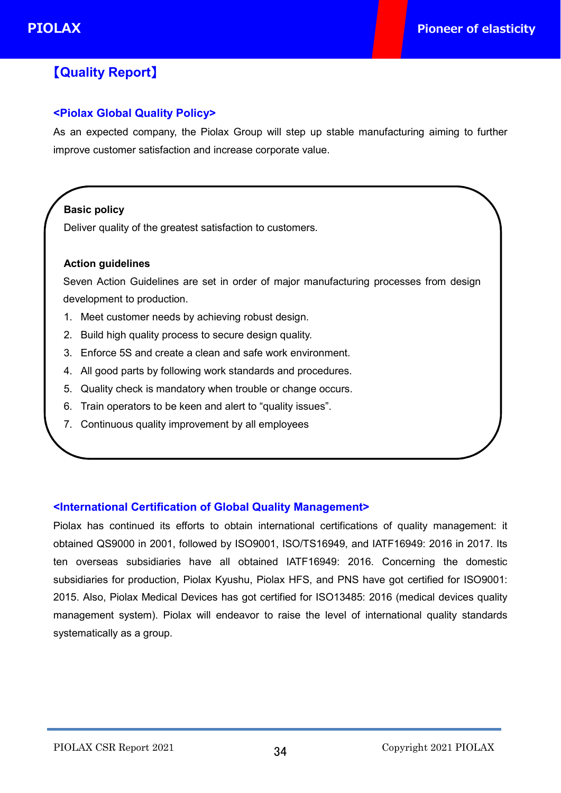# 【**Quality Report**】

### **<Piolax Global Quality Policy>**

As an expected company, the Piolax Group will step up stable manufacturing aiming to further improve customer satisfaction and increase corporate value.

# **Basic policy**

Deliver quality of the greatest satisfaction to customers.

#### **Action guidelines**

Seven Action Guidelines are set in order of major manufacturing processes from design development to production.

- 1. Meet customer needs by achieving robust design.
- 2. Build high quality process to secure design quality.
- 3. Enforce 5S and create a clean and safe work environment.
- 4. All good parts by following work standards and procedures.
- 5. Quality check is mandatory when trouble or change occurs.
- 6. Train operators to be keen and alert to "quality issues".
- 7. Continuous quality improvement by all employees

#### **<International Certification of Global Quality Management>**

Piolax has continued its efforts to obtain international certifications of quality management: it obtained QS9000 in 2001, followed by ISO9001, ISO/TS16949, and IATF16949: 2016 in 2017. Its ten overseas subsidiaries have all obtained IATF16949: 2016. Concerning the domestic subsidiaries for production, Piolax Kyushu, Piolax HFS, and PNS have got certified for ISO9001: 2015. Also, Piolax Medical Devices has got certified for ISO13485: 2016 (medical devices quality management system). Piolax will endeavor to raise the level of international quality standards systematically as a group.